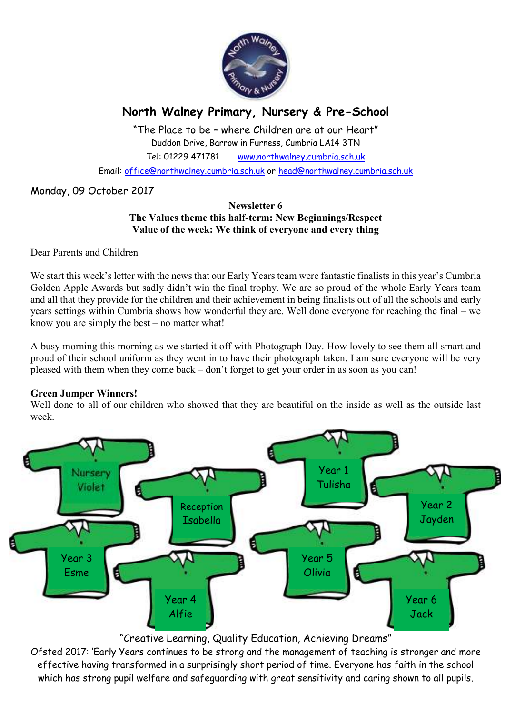

# **North Walney Primary, Nursery & Pre-School**

"The Place to be – where Children are at our Heart" Duddon Drive, Barrow in Furness, Cumbria LA14 3TN Tel: 01229 471781 www.northwalney.cumbria.sch.uk

Email: office@northwalney.cumbria.sch.uk or head@northwalney.cumbria.sch.uk

Monday, 09 October 2017

### **Newsletter 6 The Values theme this half-term: New Beginnings/Respect Value of the week: We think of everyone and every thing**

Dear Parents and Children

We start this week's letter with the news that our Early Years team were fantastic finalists in this year's Cumbria Golden Apple Awards but sadly didn't win the final trophy. We are so proud of the whole Early Years team and all that they provide for the children and their achievement in being finalists out of all the schools and early years settings within Cumbria shows how wonderful they are. Well done everyone for reaching the final – we know you are simply the best – no matter what!

A busy morning this morning as we started it off with Photograph Day. How lovely to see them all smart and proud of their school uniform as they went in to have their photograph taken. I am sure everyone will be very pleased with them when they come back – don't forget to get your order in as soon as you can!

### **Green Jumper Winners!**

Well done to all of our children who showed that they are beautiful on the inside as well as the outside last week.



### "Creative Learning, Quality Education, Achieving Dreams"

Ofsted 2017: 'Early Years continues to be strong and the management of teaching is stronger and more effective having transformed in a surprisingly short period of time. Everyone has faith in the school which has strong pupil welfare and safeguarding with great sensitivity and caring shown to all pupils.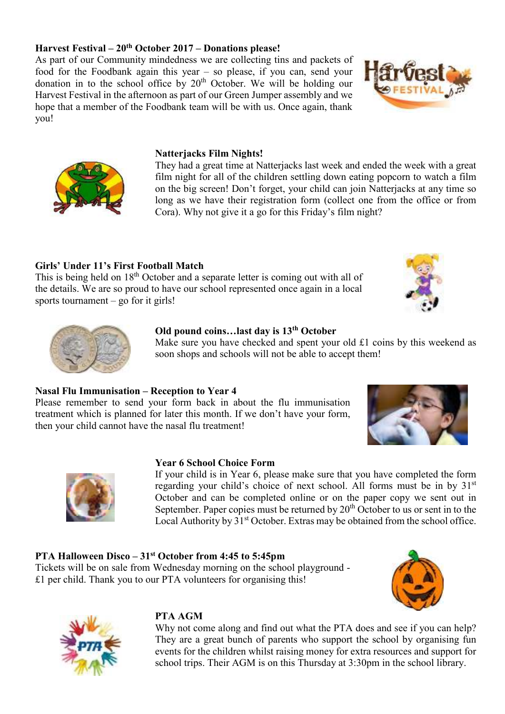# **Harvest Festival – 20th October 2017 – Donations please!**

As part of our Community mindedness we are collecting tins and packets of food for the Foodbank again this year – so please, if you can, send your donation in to the school office by  $20<sup>th</sup>$  October. We will be holding our Harvest Festival in the afternoon as part of our Green Jumper assembly and we hope that a member of the Foodbank team will be with us. Once again, thank you!

### **Natterjacks Film Nights!**

They had a great time at Natterjacks last week and ended the week with a great film night for all of the children settling down eating popcorn to watch a film on the big screen! Don't forget, your child can join Natterjacks at any time so long as we have their registration form (collect one from the office or from Cora). Why not give it a go for this Friday's film night?

### **Girls' Under 11's First Football Match**

This is being held on  $18<sup>th</sup>$  October and a separate letter is coming out with all of the details. We are so proud to have our school represented once again in a local sports tournament  $-$  go for it girls!

# **Old pound coins…last day is 13th October**

Make sure you have checked and spent your old £1 coins by this weekend as soon shops and schools will not be able to accept them!

# **Nasal Flu Immunisation – Reception to Year 4**

Please remember to send your form back in about the flu immunisation treatment which is planned for later this month. If we don't have your form, then your child cannot have the nasal flu treatment!

### **Year 6 School Choice Form**

If your child is in Year 6, please make sure that you have completed the form regarding your child's choice of next school. All forms must be in by 31<sup>st</sup> October and can be completed online or on the paper copy we sent out in September. Paper copies must be returned by  $20<sup>th</sup>$  October to us or sent in to the Local Authority by 31<sup>st</sup> October. Extras may be obtained from the school office.

# **PTA Halloween Disco – 31st October from 4:45 to 5:45pm**

Tickets will be on sale from Wednesday morning on the school playground - £1 per child. Thank you to our PTA volunteers for organising this!

### **PTA AGM**

Why not come along and find out what the PTA does and see if you can help? They are a great bunch of parents who support the school by organising fun events for the children whilst raising money for extra resources and support for school trips. Their AGM is on this Thursday at 3:30pm in the school library.